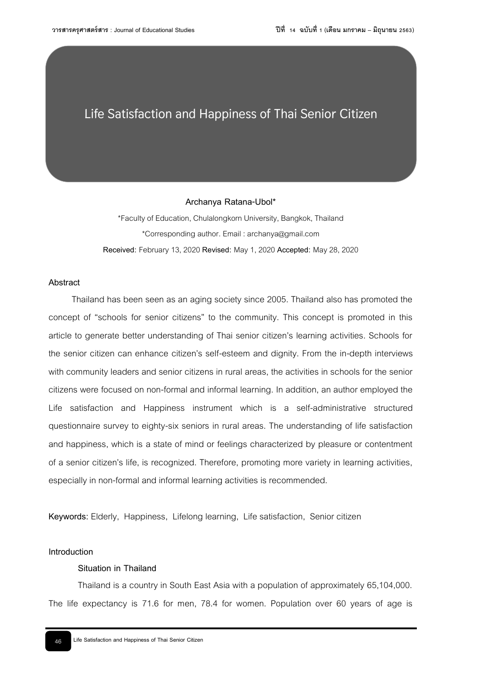# **Life Satisfaction and Happiness of Thai Senior Citizen**

#### **Archanya Ratana-Ubol\***

\*Faculty of Education, Chulalongkorn University, Bangkok, Thailand \*Corresponding author. Email : archanya@gmail.com **Received:** February 13, 2020 **Revised:** May1, 2020 **Accepted:** May 28, 2020

# **Abstract**

Thailand has been seen as an aging society since 2005. Thailand also has promoted the concept of "schools for senior citizens" to the community. This concept is promoted in this article to generate better understanding of Thai senior citizen's learning activities. Schools for the senior citizen can enhance citizen's self-esteem and dignity. From the in-depth interviews with community leaders and senior citizens in rural areas, the activities in schools for the senior citizens were focused on non-formal and informal learning. In addition, an author employed the Life satisfaction and Happiness instrument which is a self-administrative structured questionnaire survey to eighty-six seniors in rural areas. The understanding of life satisfaction and happiness, which is a state of mind or feelings characterized by pleasure or contentment of a senior citizen's life, is recognized. Therefore, promoting more variety in learning activities, especially in non-formal and informal learning activities is recommended.

**Keywords:** Elderly, Happiness, Lifelong learning, Life satisfaction, Senior citizen

#### **Introduction**

# **Situation in Thailand**

Thailand is a country in South East Asia with a population of approximately 65,104,000. The life expectancy is 71.6 for men, 78.4 for women. Population over 60 years of age is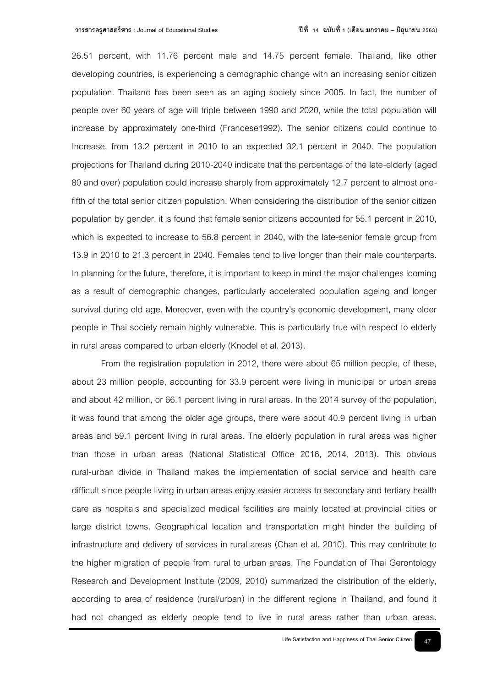26.51 percent, with 11.76 percent male and 14.75 percent female. Thailand, like other developing countries, is experiencing a demographic change with an increasing senior citizen population. Thailand has been seen as an aging society since 2005. In fact, the number of people over 60 years of age will triple between 1990 and 2020, while the total population will increase by approximately one-third (Francese1992). The senior citizens could continue to Increase, from 13.2 percent in 2010 to an expected 32.1 percent in 2040. The population projections for Thailand during 2010-2040 indicate that the percentage of the late-elderly (aged 80 and over) population could increase sharply from approximately 12.7 percent to almost onefifth of the total senior citizen population. When considering the distribution of the senior citizen population by gender, it is found that female senior citizens accounted for 55.1 percent in 2010, which is expected to increase to 56.8 percent in 2040, with the late-senior female group from 13.9 in 2010 to 21.3 percent in 2040. Females tend to live longer than their male counterparts. In planning for the future, therefore, it is important to keep in mind the major challenges looming as a result of demographic changes, particularly accelerated population ageing and longer survival during old age. Moreover, even with the country's economic development, many older people in Thai society remain highly vulnerable. This is particularly true with respect to elderly in rural areas compared to urban elderly (Knodel et al. 2013).

From the registration population in 2012, there were about 65 million people, of these, about 23 million people, accounting for 33.9 percent were living in municipal or urban areas and about 42 million, or 66.1 percent living in rural areas. In the 2014 survey of the population, it was found that among the older age groups, there were about 40.9 percent living in urban areas and 59.1 percent living in rural areas. The elderly population in rural areas was higher than those in urban areas (National Statistical Office 2016, 2014, 2013). This obvious rural-urban divide in Thailand makes the implementation of social service and health care difficult since people living in urban areas enjoy easier access to secondary and tertiary health care as hospitals and specialized medical facilities are mainly located at provincial cities or large district towns. Geographical location and transportation might hinder the building of infrastructure and delivery of services in rural areas (Chan et al. 2010). This may contribute to the higher migration of people from rural to urban areas. The Foundation of Thai Gerontology Research and Development Institute (2009, 2010) summarized the distribution of the elderly, according to area of residence (rural/urban) in the different regions in Thailand, and found it had not changed as elderly people tend to live in rural areas rather than urban areas.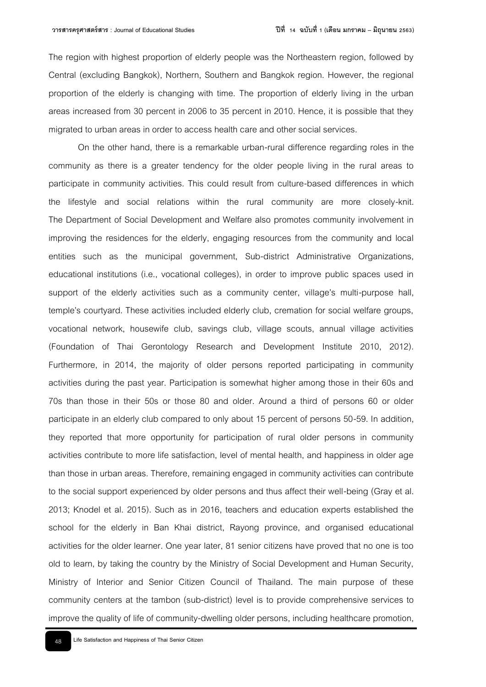The region with highest proportion of elderly people was the Northeastern region, followed by Central (excluding Bangkok), Northern, Southern and Bangkok region. However, the regional proportion of the elderly is changing with time. The proportion of elderly living in the urban areas increased from 30 percent in 2006 to 35 percent in 2010. Hence, it is possible that they migrated to urban areas in order to access health care and other social services.

On the other hand, there is a remarkable urban-rural difference regarding roles in the community as there is a greater tendency for the older people living in the rural areas to participate in community activities. This could result from culture-based differences in which the lifestyle and social relations within the rural community are more closely-knit. The Department of Social Development and Welfare also promotes community involvement in improving the residences for the elderly, engaging resources from the community and local entities such as the municipal government, Sub-district Administrative Organizations, educational institutions (i.e., vocational colleges), in order to improve public spaces used in support of the elderly activities such as a community center, village's multi-purpose hall, temple's courtyard. These activities included elderly club, cremation for social welfare groups, vocational network, housewife club, savings club, village scouts, annual village activities (Foundation of Thai Gerontology Research and Development Institute 2010, 2012). Furthermore, in 2014, the majority of older persons reported participating in community activities during the past year. Participation is somewhat higher among those in their 60s and 70s than those in their 50s or those 80 and older. Around a third of persons 60 or older participate in an elderly club compared to only about 15 percent of persons 50-59. In addition, they reported that more opportunity for participation of rural older persons in community activities contribute to more life satisfaction, level of mental health, and happiness in older age than those in urban areas. Therefore, remaining engaged in community activities can contribute to the social support experienced by older persons and thus affect their well-being (Gray et al. 2013; Knodel et al. 2015). Such as in 2016, teachers and education experts established the school for the elderly in Ban Khai district, Rayong province, and organised educational activities for the older learner. One year later, 81 senior citizens have proved that no one is too old to learn, by taking the country by the Ministry of Social Development and Human Security, Ministry of Interior and Senior Citizen Council of Thailand. The main purpose of these community centers at the tambon (sub-district) level is to provide comprehensive services to improve the quality of life of community-dwelling older persons, including healthcare promotion,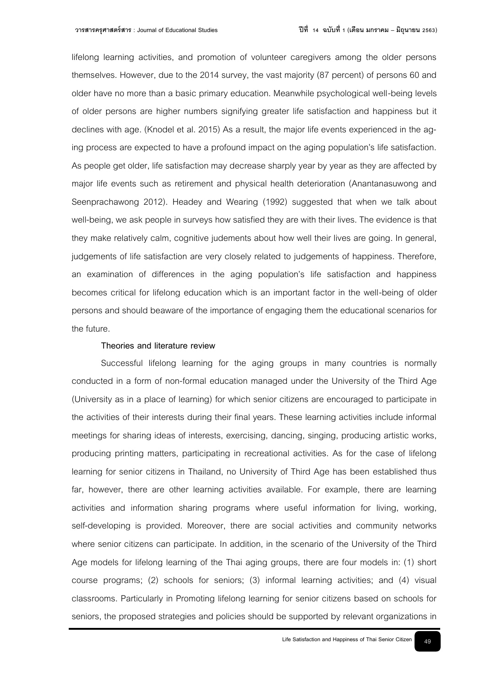lifelong learning activities, and promotion of volunteer caregivers among the older persons themselves. However, due to the 2014 survey, the vast majority (87 percent) of persons 60 and older have no more than a basic primary education. Meanwhile psychological well-being levels of older persons are higher numbers signifying greater life satisfaction and happiness but it declines with age. (Knodel et al. 2015) As a result, the major life events experienced in the aging process are expected to have a profound impact on the aging population's life satisfaction. As people get older, life satisfaction may decrease sharply year by year as they are affected by major life events such as retirement and physical health deterioration (Anantanasuwong and Seenprachawong 2012). Headey and Wearing (1992) suggested that when we talk about well-being, we ask people in surveys how satisfied they are with their lives. The evidence is that they make relatively calm, cognitive judements about how well their lives are going. In general, judgements of life satisfaction are very closely related to judgements of happiness. Therefore, an examination of differences in the aging population's life satisfaction and happiness becomes critical for lifelong education which is an important factor in the well-being of older persons and should beaware of the importance of engaging them the educational scenarios for the future.

#### **Theories and literature review**

Successful lifelong learning for the aging groups in many countries is normally conducted in a form of non-formal education managed under the University of the Third Age (University as in a place of learning) for which senior citizens are encouraged to participate in the activities of their interests during their final years. These learning activities include informal meetings for sharing ideas of interests, exercising, dancing, singing, producing artistic works, producing printing matters, participating in recreational activities. As for the case of lifelong learning for senior citizens in Thailand, no University of Third Age has been established thus far, however, there are other learning activities available. For example, there are learning activities and information sharing programs where useful information for living, working, self-developing is provided. Moreover, there are social activities and community networks where senior citizens can participate. In addition, in the scenario of the University of the Third Age models for lifelong learning of the Thai aging groups, there are four models in: (1) short course programs; (2) schools for seniors; (3) informal learning activities; and (4) visual classrooms. Particularly in Promoting lifelong learning for senior citizens based on schools for seniors, the proposed strategies and policies should be supported by relevant organizations in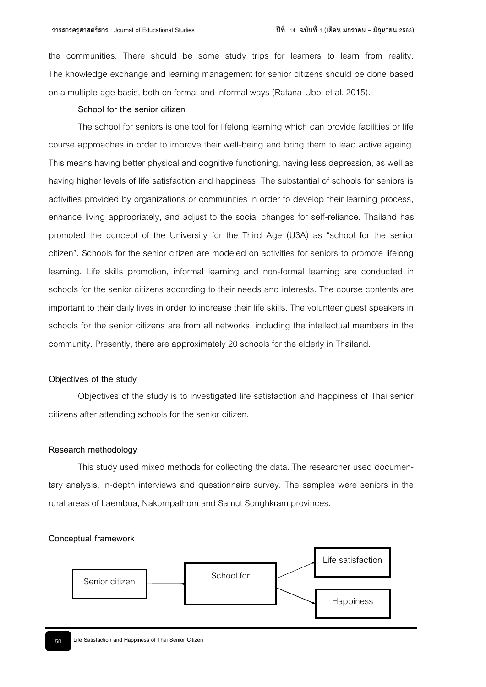the communities. There should be some study trips for learners to learn from reality. The knowledge exchange and learning management for senior citizens should be done based on a multiple-age basis, both on formal and informal ways (Ratana-Ubol et al. 2015).

#### **School for the senior citizen**

The school for seniors is one tool for lifelong learning which can provide facilities or life course approaches in order to improve their well-being and bring them to lead active ageing. This means having better physical and cognitive functioning, having less depression, as well as having higher levels of life satisfaction and happiness. The substantial of schools for seniors is activities provided by organizations or communities in order to develop their learning process, enhance living appropriately, and adjust to the social changes for self-reliance. Thailand has promoted the concept of the University for the Third Age (U3A) as "school for the senior citizen". Schools for the senior citizen are modeled on activities for seniors to promote lifelong learning. Life skills promotion, informal learning and non-formal learning are conducted in schools for the senior citizens according to their needs and interests. The course contents are important to their daily lives in order to increase their life skills. The volunteer guest speakers in schools for the senior citizens are from all networks, including the intellectual members in the community. Presently, there are approximately 20 schools for the elderly in Thailand.

### **Objectives of the study**

Objectives of the study is to investigated life satisfaction and happiness of Thai senior citizens after attending schools for the senior citizen.

## **Research methodology**

This study used mixed methods for collecting the data. The researcher used documentary analysis, in-depth interviews and questionnaire survey. The samples were seniors in the rural areas of Laembua, Nakornpathom and Samut Songhkram provinces.

#### **Conceptual framework**

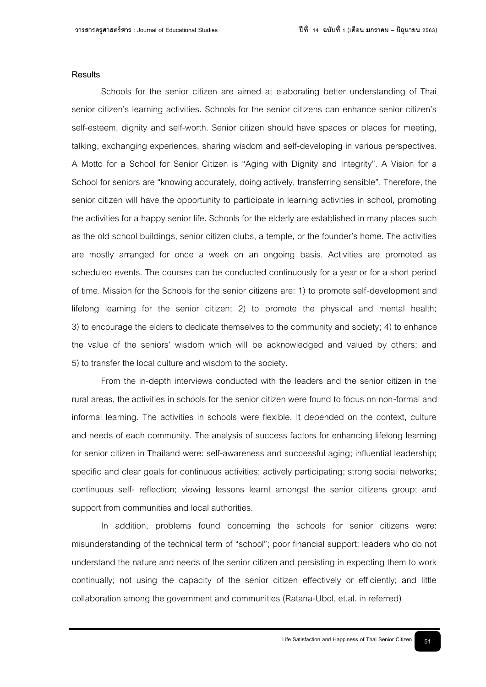## **Results**

Schools for the senior citizen are aimed at elaborating better understanding of Thai senior citizen's learning activities. Schools for the senior citizens can enhance senior citizen's self-esteem, dignity and self-worth. Senior citizen should have spaces or places for meeting, talking, exchanging experiences, sharing wisdom and self-developing in various perspectives. A Motto for a School for Senior Citizen is "Aging with Dignity and Integrity". A Vision for a School for seniors are "knowing accurately, doing actively, transferring sensible". Therefore, the senior citizen will have the opportunity to participate in learning activities in school, promoting the activities for a happy senior life. Schools for the elderly are established in many places such as the old school buildings, senior citizen clubs, a temple, or the founder's home. The activities are mostly arranged for once a week on an ongoing basis. Activities are promoted as scheduled events. The courses can be conducted continuously for a year or for a short period of time. Mission for the Schools for the senior citizens are: 1) to promote self-development and lifelong learning for the senior citizen; 2) to promote the physical and mental health; 3) to encourage the elders to dedicate themselves to the community and society; 4) to enhance the value of the seniors' wisdom which will be acknowledged and valued by others; and 5) to transfer the local culture and wisdom to the society.

From the in-depth interviews conducted with the leaders and the senior citizen in the rural areas, the activities in schools for the senior citizen were found to focus on non-formal and informal learning. The activities in schools were flexible. It depended on the context, culture and needs of each community. The analysis of success factors for enhancing lifelong learning for senior citizen in Thailand were: self-awareness and successful aging; influential leadership; specific and clear goals for continuous activities; actively participating; strong social networks; continuous self- reflection; viewing lessons learnt amongst the senior citizens group; and support from communities and local authorities.

In addition, problems found concerning the schools for senior citizens were: misunderstanding of the technical term of "school"; poor financial support; leaders who do not understand the nature and needs of the senior citizen and persisting in expecting them to work continually; not using the capacity of the senior citizen effectively or efficiently; and little collaboration among the government and communities (Ratana-Ubol, et.al. in referred)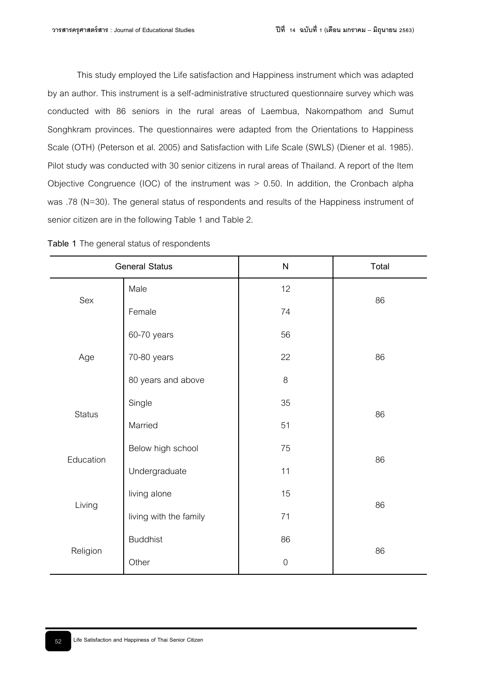This study employed the Life satisfaction and Happiness instrument which was adapted by an author. This instrument is a self-administrative structured questionnaire survey which was conducted with 86 seniors in the rural areas of Laembua, Nakornpathom and Sumut Songhkram provinces. The questionnaires were adapted from the Orientations to Happiness Scale (OTH) (Peterson et al. 2005) and Satisfaction with Life Scale (SWLS) (Diener et al. 1985). Pilot study was conducted with 30 senior citizens in rural areas of Thailand. A report of the Item Objective Congruence (IOC) of the instrument was > 0.50. In addition, the Cronbach alpha was .78 (N=30). The general status of respondents and results of the Happiness instrument of senior citizen are in the following Table 1 and Table 2.

| <b>General Status</b> |                        | ${\sf N}$        | Total |  |
|-----------------------|------------------------|------------------|-------|--|
| Sex                   | Male                   | 12               |       |  |
|                       | Female                 | 74               | 86    |  |
| Age                   | 60-70 years            | 56               |       |  |
|                       | 70-80 years            | 22               | 86    |  |
|                       | 80 years and above     | 8                |       |  |
| <b>Status</b>         | Single                 | 35               |       |  |
|                       | Married                | 51               | 86    |  |
| Education             | Below high school      | 75               | 86    |  |
|                       | Undergraduate          | 11               |       |  |
| Living                | living alone           | 15               | 86    |  |
|                       | living with the family | 71               |       |  |
| Religion              | <b>Buddhist</b>        | 86               | 86    |  |
|                       | Other                  | $\boldsymbol{0}$ |       |  |

**Table 1** The general status of respondents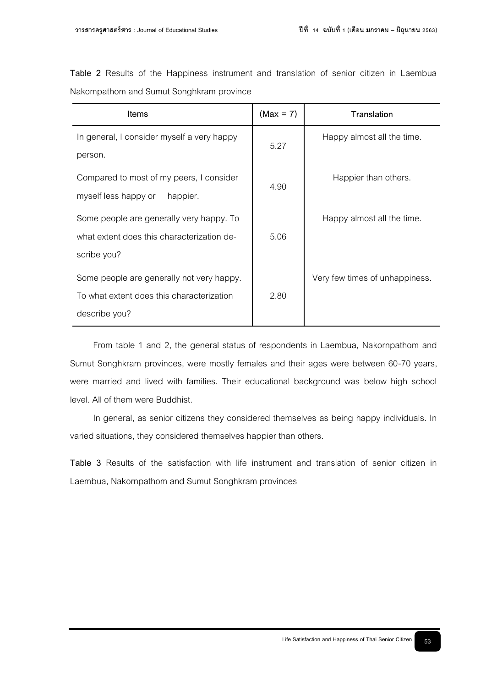**Table 2** Results of the Happiness instrument and translation of senior citizen in Laembua Nakompathom and Sumut Songhkram province

| <b>Items</b>                               | $(Max = 7)$ | Translation                    |
|--------------------------------------------|-------------|--------------------------------|
| In general, I consider myself a very happy | 5.27        | Happy almost all the time.     |
| person.                                    |             |                                |
| Compared to most of my peers, I consider   | 4.90        | Happier than others.           |
| myself less happy or<br>happier.           |             |                                |
| Some people are generally very happy. To   |             | Happy almost all the time.     |
| what extent does this characterization de- | 5.06        |                                |
| scribe you?                                |             |                                |
| Some people are generally not very happy.  |             | Very few times of unhappiness. |
| To what extent does this characterization  | 2.80        |                                |
| describe you?                              |             |                                |

From table 1 and 2, the general status of respondents in Laembua, Nakornpathom and Sumut Songhkram provinces, were mostly females and their ages were between 60-70 years, were married and lived with families. Their educational background was below high school level. All of them were Buddhist.

In general, as senior citizens they considered themselves as being happy individuals. In varied situations, they considered themselves happier than others.

**Table 3** Results of the satisfaction with life instrument and translation of senior citizen in Laembua, Nakornpathom and Sumut Songhkram provinces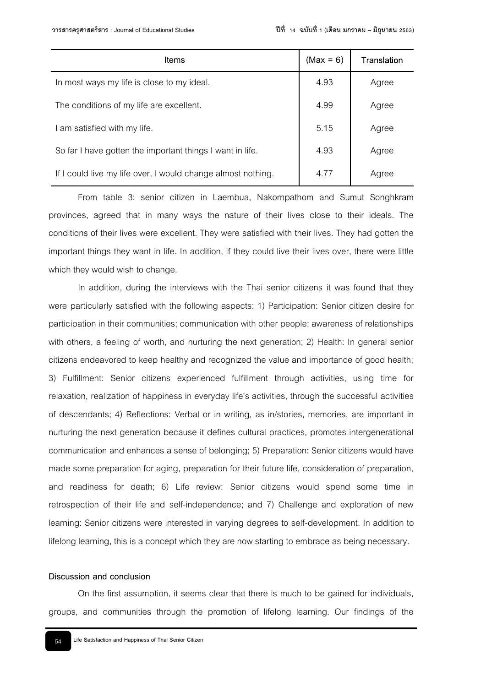| Items                                                        | $(Max = 6)$ | Translation |
|--------------------------------------------------------------|-------------|-------------|
| In most ways my life is close to my ideal.                   | 4.93        | Agree       |
| The conditions of my life are excellent.                     | 4.99        | Agree       |
| I am satisfied with my life.                                 | 5.15        | Agree       |
| So far I have gotten the important things I want in life.    | 4.93        | Agree       |
| If I could live my life over, I would change almost nothing. | 4.77        | Agree       |

From table 3: senior citizen in Laembua, Nakornpathom and Sumut Songhkram provinces, agreed that in many ways the nature of their lives close to their ideals. The conditions of their lives were excellent. They were satisfied with their lives. They had gotten the important things they want in life. In addition, if they could live their lives over, there were little which they would wish to change.

In addition, during the interviews with the Thai senior citizens it was found that they were particularly satisfied with the following aspects: 1) Participation: Senior citizen desire for participation in their communities; communication with other people; awareness of relationships with others, a feeling of worth, and nurturing the next generation; 2) Health: In general senior citizens endeavored to keep healthy and recognized the value and importance of good health; 3) Fulfillment: Senior citizens experienced fulfillment through activities, using time for relaxation, realization of happiness in everyday life's activities, through the successful activities of descendants; 4) Reflections: Verbal or in writing, as in/stories, memories, are important in nurturing the next generation because it defines cultural practices, promotes intergenerational communication and enhances a sense of belonging; 5) Preparation: Senior citizens would have made some preparation for aging, preparation for their future life, consideration of preparation, and readiness for death; 6) Life review: Senior citizens would spend some time in retrospection of their life and self-independence; and 7) Challenge and exploration of new learning: Senior citizens were interested in varying degrees to self-development. In addition to lifelong learning, this is a concept which they are now starting to embrace as being necessary.

# **Discussion and conclusion**

On the first assumption, it seems clear that there is much to be gained for individuals, groups, and communities through the promotion of lifelong learning. Our findings of the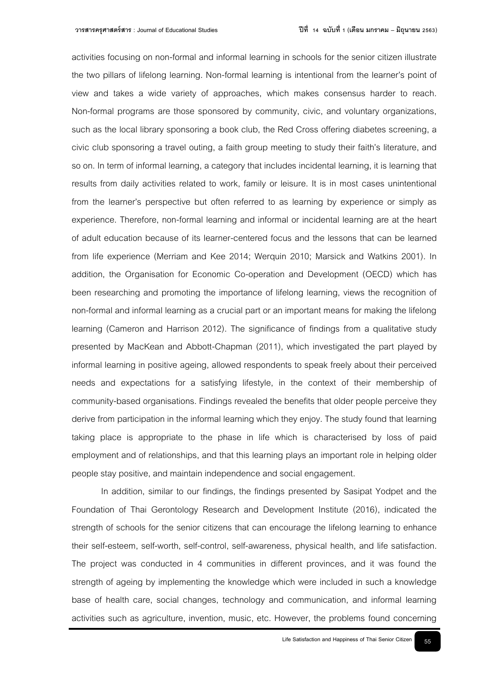activities focusing on non-formal and informal learning in schools for the senior citizen illustrate the two pillars of lifelong learning. Non-formal learning is intentional from the learner's point of view and takes a wide variety of approaches, which makes consensus harder to reach. Non-formal programs are those sponsored by community, civic, and voluntary organizations, such as the local library sponsoring a book club, the Red Cross offering diabetes screening, a civic club sponsoring a travel outing, a faith group meeting to study their faith's literature, and so on. In term of informal learning, a category that includes incidental learning, it is learning that results from daily activities related to work, family or leisure. It is in most cases unintentional from the learner's perspective but often referred to as learning by experience or simply as experience. Therefore, non-formal learning and informal or incidental learning are at the heart of adult education because of its learner-centered focus and the lessons that can be learned from life experience (Merriam and Kee 2014; Werquin 2010; Marsick and Watkins 2001). In addition, the Organisation for Economic Co-operation and Development (OECD) which has been researching and promoting the importance of lifelong learning, views the recognition of non-formal and informal learning as a crucial part or an important means for making the lifelong learning (Cameron and Harrison 2012). The significance of findings from a qualitative study presented by MacKean and Abbott-Chapman (2011), which investigated the part played by informal learning in positive ageing, allowed respondents to speak freely about their perceived needs and expectations for a satisfying lifestyle, in the context of their membership of community-based organisations. Findings revealed the benefits that older people perceive they derive from participation in the informal learning which they enjoy. The study found that learning taking place is appropriate to the phase in life which is characterised by loss of paid employment and of relationships, and that this learning plays an important role in helping older people stay positive, and maintain independence and social engagement.

In addition, similar to our findings, the findings presented by Sasipat Yodpet and the Foundation of Thai Gerontology Research and Development Institute (2016), indicated the strength of schools for the senior citizens that can encourage the lifelong learning to enhance their self-esteem, self-worth, self-control, self-awareness, physical health, and life satisfaction. The project was conducted in 4 communities in different provinces, and it was found the strength of ageing by implementing the knowledge which were included in such a knowledge base of health care, social changes, technology and communication, and informal learning activities such as agriculture, invention, music, etc. However, the problems found concerning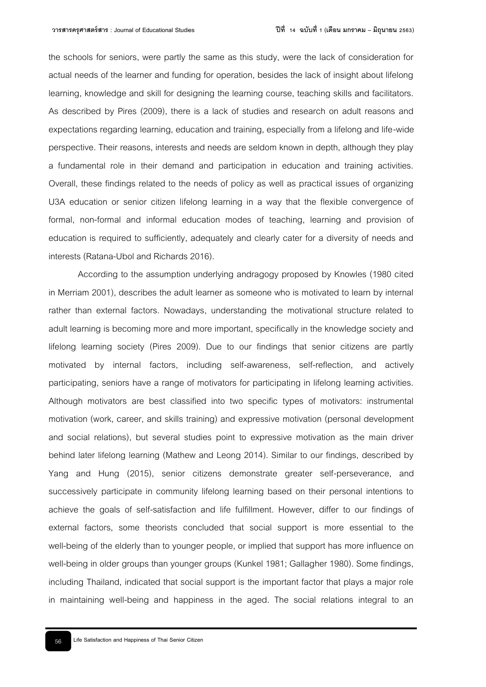the schools for seniors, were partly the same as this study, were the lack of consideration for actual needs of the learner and funding for operation, besides the lack of insight about lifelong learning, knowledge and skill for designing the learning course, teaching skills and facilitators. As described by Pires (2009), there is a lack of studies and research on adult reasons and expectations regarding learning, education and training, especially from a lifelong and life-wide perspective. Their reasons, interests and needs are seldom known in depth, although they play a fundamental role in their demand and participation in education and training activities. Overall, these findings related to the needs of policy as well as practical issues of organizing U3A education or senior citizen lifelong learning in a way that the flexible convergence of formal, non-formal and informal education modes of teaching, learning and provision of education is required to sufficiently, adequately and clearly cater for a diversity of needs and interests (Ratana-Ubol and Richards 2016).

According to the assumption underlying andragogy proposed by Knowles (1980 cited in Merriam 2001), describes the adult learner as someone who is motivated to learn by internal rather than external factors. Nowadays, understanding the motivational structure related to adult learning is becoming more and more important, specifically in the knowledge society and lifelong learning society (Pires 2009). Due to our findings that senior citizens are partly motivated by internal factors, including self-awareness, self-reflection, and actively participating, seniors have a range of motivators for participating in lifelong learning activities. Although motivators are best classified into two specific types of motivators: instrumental motivation (work, career, and skills training) and expressive motivation (personal development and social relations), but several studies point to expressive motivation as the main driver behind later lifelong learning (Mathew and Leong 2014). Similar to our findings, described by Yang and Hung (2015), senior citizens demonstrate greater self-perseverance, and successively participate in community lifelong learning based on their personal intentions to achieve the goals of self-satisfaction and life fulfillment. However, differ to our findings of external factors, some theorists concluded that social support is more essential to the well-being of the elderly than to younger people, or implied that support has more influence on well-being in older groups than younger groups (Kunkel 1981; Gallagher 1980). Some findings, including Thailand, indicated that social support is the important factor that plays a major role in maintaining well-being and happiness in the aged. The social relations integral to an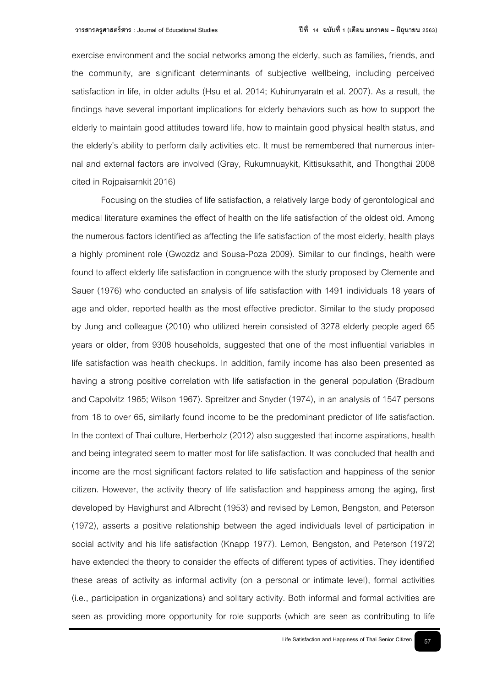exercise environment and the social networks among the elderly, such as families, friends, and the community, are significant determinants of subjective wellbeing, including perceived satisfaction in life, in older adults (Hsu et al. 2014; Kuhirunyaratn et al. 2007). As a result, the findings have several important implications for elderly behaviors such as how to support the elderly to maintain good attitudes toward life, how to maintain good physical health status, and the elderly's ability to perform daily activities etc. It must be remembered that numerous internal and external factors are involved (Gray, Rukumnuaykit, Kittisuksathit, and Thongthai 2008 cited in Rojpaisarnkit 2016)

Focusing on the studies of life satisfaction, a relatively large body of gerontological and medical literature examines the effect of health on the life satisfaction of the oldest old. Among the numerous factors identified as affecting the life satisfaction of the most elderly, health plays a highly prominent role (Gwozdz and Sousa-Poza 2009). Similar to our findings, health were found to affect elderly life satisfaction in congruence with the study proposed by Clemente and Sauer (1976) who conducted an analysis of life satisfaction with 1491 individuals 18 years of age and older, reported health as the most effective predictor. Similar to the study proposed by Jung and colleague (2010) who utilized herein consisted of 3278 elderly people aged 65 years or older, from 9308 households, suggested that one of the most influential variables in life satisfaction was health checkups. In addition, family income has also been presented as having a strong positive correlation with life satisfaction in the general population (Bradburn and Capolvitz 1965; Wilson 1967). Spreitzer and Snyder (1974), in an analysis of 1547 persons from 18 to over 65, similarly found income to be the predominant predictor of life satisfaction. In the context of Thai culture, Herberholz (2012) also suggested that income aspirations, health and being integrated seem to matter most for life satisfaction. It was concluded that health and income are the most significant factors related to life satisfaction and happiness of the senior citizen. However, the activity theory of life satisfaction and happiness among the aging, first developed by Havighurst and Albrecht (1953) and revised by Lemon, Bengston, and Peterson (1972), asserts a positive relationship between the aged individuals level of participation in social activity and his life satisfaction (Knapp 1977). Lemon, Bengston, and Peterson (1972) have extended the theory to consider the effects of different types of activities. They identified these areas of activity as informal activity (on a personal or intimate level), formal activities (i.e., participation in organizations) and solitary activity. Both informal and formal activities are seen as providing more opportunity for role supports (which are seen as contributing to life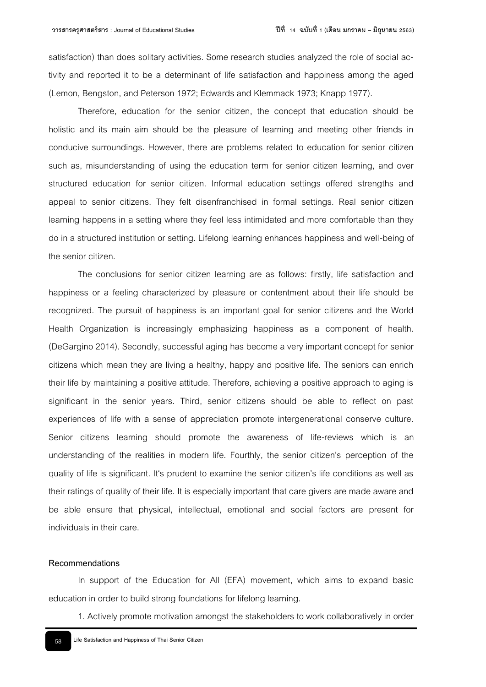satisfaction) than does solitary activities. Some research studies analyzed the role of social activity and reported it to be a determinant of life satisfaction and happiness among the aged (Lemon, Bengston, and Peterson 1972; Edwards and Klemmack 1973; Knapp 1977).

Therefore, education for the senior citizen, the concept that education should be holistic and its main aim should be the pleasure of learning and meeting other friends in conducive surroundings. However, there are problems related to education for senior citizen such as, misunderstanding of using the education term for senior citizen learning, and over structured education for senior citizen. Informal education settings offered strengths and appeal to senior citizens. They felt disenfranchised in formal settings. Real senior citizen learning happens in a setting where they feel less intimidated and more comfortable than they do in a structured institution or setting. Lifelong learning enhances happiness and well-being of the senior citizen.

The conclusions for senior citizen learning are as follows: firstly, life satisfaction and happiness or a feeling characterized by pleasure or contentment about their life should be recognized. The pursuit of happiness is an important goal for senior citizens and the World Health Organization is increasingly emphasizing happiness as a component of health. (DeGargino 2014). Secondly, successful aging has become a very important concept for senior citizens which mean they are living a healthy, happy and positive life. The seniors can enrich their life by maintaining a positive attitude. Therefore, achieving a positive approach to aging is significant in the senior years. Third, senior citizens should be able to reflect on past experiences of life with a sense of appreciation promote intergenerational conserve culture. Senior citizens learning should promote the awareness of life-reviews which is an understanding of the realities in modern life. Fourthly, the senior citizen's perception of the quality of life is significant. It's prudent to examine the senior citizen's life conditions as well as their ratings of quality of their life. It is especially important that care givers are made aware and be able ensure that physical, intellectual, emotional and social factors are present for individuals in their care.

#### **Recommendations**

In support of the Education for All (EFA) movement, which aims to expand basic education in order to build strong foundations for lifelong learning.

1. Actively promote motivation amongst the stakeholders to work collaboratively in order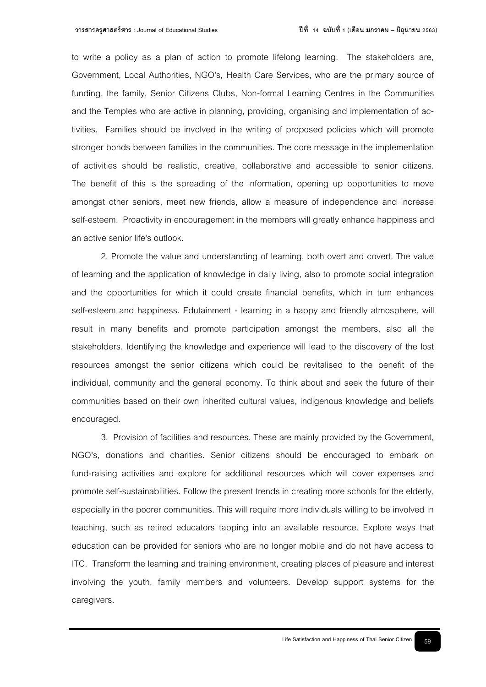to write a policy as a plan of action to promote lifelong learning. The stakeholders are, Government, Local Authorities, NGO's, Health Care Services, who are the primary source of funding, the family, Senior Citizens Clubs, Non-formal Learning Centres in the Communities and the Temples who are active in planning, providing, organising and implementation of activities. Families should be involved in the writing of proposed policies which will promote stronger bonds between families in the communities. The core message in the implementation of activities should be realistic, creative, collaborative and accessible to senior citizens. The benefit of this is the spreading of the information, opening up opportunities to move amongst other seniors, meet new friends, allow a measure of independence and increase self-esteem. Proactivity in encouragement in the members will greatly enhance happiness and an active senior life's outlook.

2. Promote the value and understanding of learning, both overt and covert. The value of learning and the application of knowledge in daily living, also to promote social integration and the opportunities for which it could create financial benefits, which in turn enhances self-esteem and happiness. Edutainment - learning in a happy and friendly atmosphere, will result in many benefits and promote participation amongst the members, also all the stakeholders. Identifying the knowledge and experience will lead to the discovery of the lost resources amongst the senior citizens which could be revitalised to the benefit of the individual, community and the general economy. To think about and seek the future of their communities based on their own inherited cultural values, indigenous knowledge and beliefs encouraged.

3. Provision of facilities and resources. These are mainly provided by the Government, NGO's, donations and charities. Senior citizens should be encouraged to embark on fund-raising activities and explore for additional resources which will cover expenses and promote self-sustainabilities. Follow the present trends in creating more schools for the elderly, especially in the poorer communities. This will require more individuals willing to be involved in teaching, such as retired educators tapping into an available resource. Explore ways that education can be provided for seniors who are no longer mobile and do not have access to ITC. Transform the learning and training environment, creating places of pleasure and interest involving the youth, family members and volunteers. Develop support systems for the caregivers.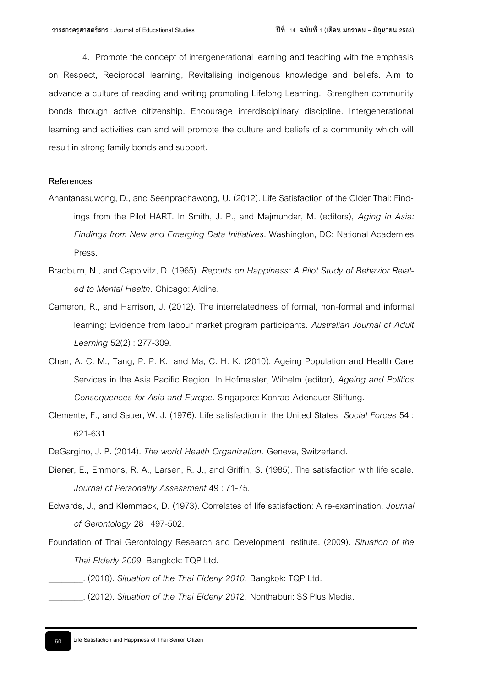4. Promote the concept of intergenerational learning and teaching with the emphasis on Respect, Reciprocal learning, Revitalising indigenous knowledge and beliefs. Aim to advance a culture of reading and writing promoting Lifelong Learning. Strengthen community bonds through active citizenship. Encourage interdisciplinary discipline. Intergenerational learning and activities can and will promote the culture and beliefs of a community which will result in strong family bonds and support.

## **References**

- Anantanasuwong, D., and Seenprachawong, U. (2012). Life Satisfaction of the Older Thai: Findings from the Pilot HART. In Smith, J. P., and Majmundar, M. (editors), *Aging in Asia: Findings from New and Emerging Data Initiatives.* Washington, DC: National Academies Press.
- Bradburn, N., and Capolvitz, D. (1965). *Reports on Happiness: A Pilot Study of Behavior Related to Mental Health*. Chicago: Aldine.
- Cameron, R., and Harrison, J. (2012). The interrelatedness of formal, non-formal and informal learning: Evidence from labour market program participants. *Australian Journal of Adult Learning* 52(2) : 277-309.
- Chan, A. C. M., Tang, P. P. K., and Ma, C. H. K. (2010). Ageing Population and Health Care Services in the Asia Pacific Region. In Hofmeister, Wilhelm (editor), *Ageing and Politics Consequences for Asia and Europe*. Singapore: Konrad-Adenauer-Stiftung.
- Clemente, F., and Sauer, W. J. (1976). Life satisfaction in the United States. *Social Forces* 54 : 621-631.
- DeGargino, J. P. (2014). *The world Health Organization*. Geneva, Switzerland.
- Diener, E., Emmons, R. A., Larsen, R. J., and Griffin, S. (1985). The satisfaction with life scale. *Journal of Personality Assessment* 49 : 71-75.
- Edwards, J., and Klemmack, D. (1973). Correlates of life satisfaction: A re-examination. *Journal of Gerontology* 28 : 497-502.
- Foundation of Thai Gerontology Research and Development Institute. (2009). *Situation of the Thai Elderly 2009*. Bangkok: TQP Ltd.
	- \_\_\_\_\_\_\_\_. (2010). *Situation of the Thai Elderly 2010*. Bangkok: TQP Ltd.
		- \_\_\_\_\_\_\_\_. (2012). *Situation of the Thai Elderly 2012*. Nonthaburi: SS Plus Media.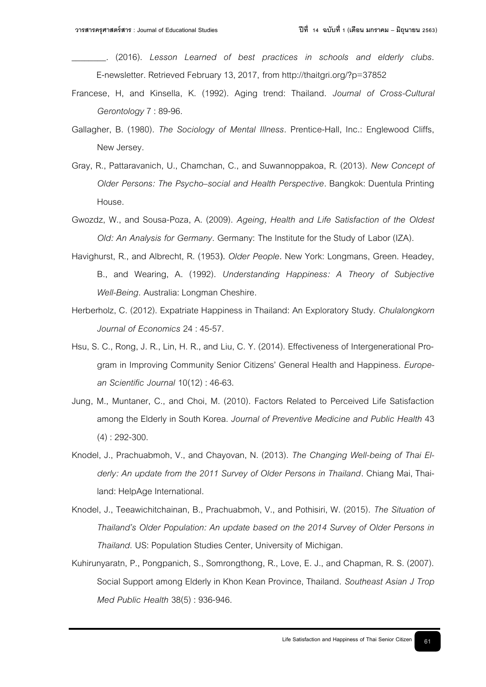- \_\_\_\_\_\_\_\_. (2016). *Lesson Learned of best practices in schools and elderly clubs.*  E-newsletter. Retrieved February 13, 2017, from http://thaitgri.org/?p=37852
- Francese, H, and Kinsella, K. (1992). Aging trend: Thailand. *Journal of Cross-Cultural Gerontology* 7 : 89-96.
- Gallagher, B. (1980). *The Sociology of Mental Illness*. Prentice-Hall, Inc.: Englewood Cliffs, New Jersey.
- Gray, R., Pattaravanich, U., Chamchan, C., and Suwannoppakoa, R. (2013). *New Concept of Older Persons: The Psycho–social and Health Perspective*. Bangkok: Duentula Printing House.
- Gwozdz, W., and Sousa-Poza, A. (2009). *Ageing, Health and Life Satisfaction of the Oldest Old: An Analysis for Germany*. Germany: The Institute for the Study of Labor (IZA).
- Havighurst, R., and Albrecht, R. (1953**).** *Older People***.** New York: Longmans, Green. Headey, B., and Wearing, A. (1992). *Understanding Happiness: A Theory of Subjective Well-Being*. Australia: Longman Cheshire.
- Herberholz, C. (2012). Expatriate Happiness in Thailand: An Exploratory Study. *Chulalongkorn Journal of Economics* 24 : 45-57.
- Hsu, S. C., Rong, J. R., Lin, H. R., and Liu, C. Y. (2014). Effectiveness of Intergenerational Program in Improving Community Senior Citizens' General Health and Happiness. *European Scientific Journal* 10(12) : 46-63.
- Jung, M., Muntaner, C., and Choi, M. (2010). Factors Related to Perceived Life Satisfaction among the Elderly in South Korea. *Journal of Preventive Medicine and Public Health* 43 (4) : 292-300.
- Knodel, J., Prachuabmoh, V., and Chayovan, N. (2013). *The Changing Well-being of Thai Elderly: An update from the 2011 Survey of Older Persons in Thailand*. Chiang Mai, Thailand: HelpAge International.
- Knodel, J., Teeawichitchainan, B., Prachuabmoh, V., and Pothisiri, W. (2015). *The Situation of Thailand's Older Population: An update based on the 2014 Survey of Older Persons in Thailand*. US: Population Studies Center, University of Michigan.
- Kuhirunyaratn, P., Pongpanich, S., Somrongthong, R., Love, E. J., and Chapman, R. S. (2007). Social Support among Elderly in Khon Kean Province, Thailand. *Southeast Asian J Trop Med Public Health* 38(5) : 936-946.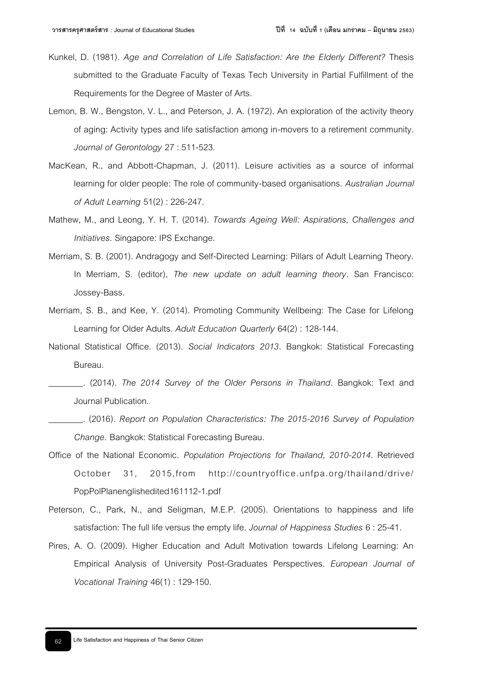- Kunkel, D. (1981). *Age and Correlation of Life Satisfaction: Are the Elderly Different?* Thesis submitted to the Graduate Faculty of Texas Tech University in Partial Fulfillment of the Requirements for the Degree of Master of Arts.
- Lemon, B. W., Bengston, V. L., and Peterson, J. A. (1972). An exploration of the activity theory of aging: Activity types and life satisfaction among in-movers to a retirement community. *Journal of Gerontology* 27 : 511-523.
- MacKean, R., and Abbott-Chapman, J. (2011). Leisure activities as a source of informal learning for older people: The role of community-based organisations. *Australian Journal of Adult Learning* 51(2) : 226-247.
- Mathew, M., and Leong, Y. H. T. (2014). *Towards Ageing Well: Aspirations, Challenges and Initiatives*. Singapore: IPS Exchange.
- Merriam, S. B. (2001). Andragogy and Self-Directed Learning: Pillars of Adult Learning Theory. In Merriam, S. (editor), *The new update on adult learning theory*. San Francisco: Jossey-Bass.
- Merriam, S. B., and Kee, Y. (2014). Promoting Community Wellbeing: The Case for Lifelong Learning for Older Adults. *Adult Education Quarterly* 64(2) : 128-144.
- National Statistical Office. (2013). *Social Indicators 2013*. Bangkok: Statistical Forecasting Bureau.
	- \_\_\_\_\_\_\_\_. (2014). *The 2014 Survey of the Older Persons in Thailand*. Bangkok: Text and Journal Publication.
- \_\_\_\_\_\_\_\_. (2016). *Report on Population Characteristics: The 2015-2016 Survey of Population Change*. Bangkok: Statistical Forecasting Bureau.
- Office of the National Economic. *Population Projections for Thailand, 2010-2014*. Retrieved October 31, 2015,from http://countryoffice.unfpa.org/thailand/drive/ PopPolPlanenglishedited161112-1.pdf
- Peterson, C., Park, N., and Seligman, M.E.P. (2005). Orientations to happiness and life satisfaction: The full life versus the empty life. *Journal of Happiness Studies* 6 : 25-41.
- Pires, A. O. (2009). Higher Education and Adult Motivation towards Lifelong Learning: An Empirical Analysis of University Post-Graduates Perspectives. *European Journal of Vocational Training* 46(1) : 129-150.